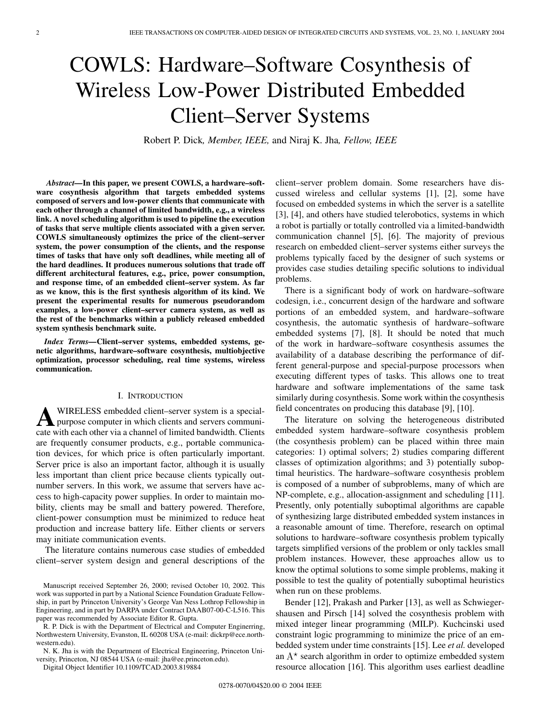# COWLS: Hardware–Software Cosynthesis of Wireless Low-Power Distributed Embedded Client–Server Systems

Robert P. Dick*, Member, IEEE,* and Niraj K. Jha*, Fellow, IEEE*

*Abstract—***In this paper, we present COWLS, a hardware–software cosynthesis algorithm that targets embedded systems composed of servers and low-power clients that communicate with each other through a channel of limited bandwidth, e.g., a wireless link. A novel scheduling algorithm is used to pipeline the execution of tasks that serve multiple clients associated with a given server. COWLS simultaneously optimizes the price of the client–server system, the power consumption of the clients, and the response times of tasks that have only soft deadlines, while meeting all of the hard deadlines. It produces numerous solutions that trade off different architectural features, e.g., price, power consumption, and response time, of an embedded client–server system. As far as we know, this is the first synthesis algorithm of its kind. We present the experimental results for numerous pseudorandom examples, a low-power client–server camera system, as well as the rest of the benchmarks within a publicly released embedded system synthesis benchmark suite.**

*Index Terms—***Client–server systems, embedded systems, genetic algorithms, hardware–software cosynthesis, multiobjective optimization, processor scheduling, real time systems, wireless communication.**

## I. INTRODUCTION

**A** WIRELESS embedded client-server system is a special-<br>purpose computer in which clients and servers communi-<br>cate with each other via a channel of limited bandwidth. Clients WIRELESS embedded client–server system is a specialpurpose computer in which clients and servers communiare frequently consumer products, e.g., portable communication devices, for which price is often particularly important. Server price is also an important factor, although it is usually less important than client price because clients typically outnumber servers. In this work, we assume that servers have access to high-capacity power supplies. In order to maintain mobility, clients may be small and battery powered. Therefore, client-power consumption must be minimized to reduce heat production and increase battery life. Either clients or servers may initiate communication events.

The literature contains numerous case studies of embedded client–server system design and general descriptions of the

R. P. Dick is with the Department of Electrical and Computer Enginerring, Northwestern University, Evanston, IL 60208 USA (e-mail: dickrp@ece.northwestern.edu).

N. K. Jha is with the Department of Electrical Engineering, Princeton University, Princeton, NJ 08544 USA (e-mail: jha@ee.princeton.edu).

Digital Object Identifier 10.1109/TCAD.2003.819884

client–server problem domain. Some researchers have discussed wireless and cellular systems [\[1](#page-13-0)], [\[2](#page-13-0)], some have focused on embedded systems in which the server is a satellite [[3\]](#page-13-0), [[4\]](#page-13-0), and others have studied telerobotics, systems in which a robot is partially or totally controlled via a limited-bandwidth communication channel [[5\]](#page-13-0), [\[6](#page-13-0)]. The majority of previous research on embedded client–server systems either surveys the problems typically faced by the designer of such systems or provides case studies detailing specific solutions to individual problems.

There is a significant body of work on hardware–software codesign, i.e., concurrent design of the hardware and software portions of an embedded system, and hardware–software cosynthesis, the automatic synthesis of hardware–software embedded systems [\[7](#page-13-0)], [[8\]](#page-13-0). It should be noted that much of the work in hardware–software cosynthesis assumes the availability of a database describing the performance of different general-purpose and special-purpose processors when executing different types of tasks. This allows one to treat hardware and software implementations of the same task similarly during cosynthesis. Some work within the cosynthesis field concentrates on producing this database [\[9](#page-13-0)], [[10\]](#page-13-0).

The literature on solving the heterogeneous distributed embedded system hardware–software cosynthesis problem (the cosynthesis problem) can be placed within three main categories: 1) optimal solvers; 2) studies comparing different classes of optimization algorithms; and 3) potentially suboptimal heuristics. The hardware–software cosynthesis problem is composed of a number of subproblems, many of which are NP-complete, e.g., allocation-assignment and scheduling [[11\]](#page-13-0). Presently, only potentially suboptimal algorithms are capable of synthesizing large distributed embedded system instances in a reasonable amount of time. Therefore, research on optimal solutions to hardware–software cosynthesis problem typically targets simplified versions of the problem or only tackles small problem instances. However, these approaches allow us to know the optimal solutions to some simple problems, making it possible to test the quality of potentially suboptimal heuristics when run on these problems.

Bender [\[12](#page-13-0)], Prakash and Parker [[13](#page-13-0)], as well as Schwiegershausen and Pirsch [[14\]](#page-13-0) solved the cosynthesis problem with mixed integer linear programming (MILP). Kuchcinski used constraint logic programming to minimize the price of an embedded system under time constraints [[15\]](#page-13-0). Lee *et al.* developed an  $A^*$  search algorithm in order to optimize embedded system resource allocation [[16](#page-13-0)]. This algorithm uses earliest deadline

Manuscript received September 26, 2000; revised October 10, 2002. This work was supported in part by a National Science Foundation Graduate Fellowship, in part by Princeton University's George Van Ness Lothrop Fellowship in Engineering, and in part by DARPA under Contract DAAB07-00-C-L516. This paper was recommended by Associate Editor R. Gupta.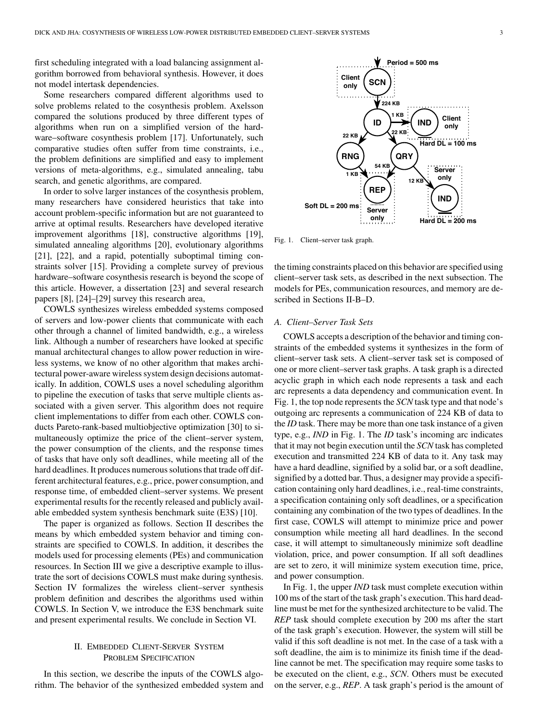first scheduling integrated with a load balancing assignment algorithm borrowed from behavioral synthesis. However, it does not model intertask dependencies.

Some researchers compared different algorithms used to solve problems related to the cosynthesis problem. Axelsson compared the solutions produced by three different types of algorithms when run on a simplified version of the hardware–software cosynthesis problem [\[17\]](#page-13-0). Unfortunately, such comparative studies often suffer from time constraints, i.e., the problem definitions are simplified and easy to implement versions of meta-algorithms, e.g., simulated annealing, tabu search, and genetic algorithms, are compared.

In order to solve larger instances of the cosynthesis problem, many researchers have considered heuristics that take into account problem-specific information but are not guaranteed to arrive at optimal results. Researchers have developed iterative improvement algorithms [\[18](#page-13-0)], constructive algorithms [\[19](#page-13-0)], simulated annealing algorithms [\[20](#page-13-0)], evolutionary algorithms [\[21](#page-13-0)], [[22\]](#page-13-0), and a rapid, potentially suboptimal timing constraints solver [[15\]](#page-13-0). Providing a complete survey of previous hardware–software cosynthesis research is beyond the scope of this article. However, a dissertation [[23\]](#page-13-0) and several research papers [\[8](#page-13-0)], [[24\]](#page-13-0)–[\[29](#page-13-0)] survey this research area,

COWLS synthesizes wireless embedded systems composed of servers and low-power clients that communicate with each other through a channel of limited bandwidth, e.g., a wireless link. Although a number of researchers have looked at specific manual architectural changes to allow power reduction in wireless systems, we know of no other algorithm that makes architectural power-aware wireless system design decisions automatically. In addition, COWLS uses a novel scheduling algorithm to pipeline the execution of tasks that serve multiple clients associated with a given server. This algorithm does not require client implementations to differ from each other. COWLS conducts Pareto-rank-based multiobjective optimization [[30\]](#page-13-0) to simultaneously optimize the price of the client–server system, the power consumption of the clients, and the response times of tasks that have only soft deadlines, while meeting all of the hard deadlines. It produces numerous solutions that trade off different architectural features, e.g., price, power consumption, and response time, of embedded client–server systems. We present experimental results for the recently released and publicly available embedded system synthesis benchmark suite (E3S) [\[10](#page-13-0)].

The paper is organized as follows. Section II describes the means by which embedded system behavior and timing constraints are specified to COWLS. In addition, it describes the models used for processing elements (PEs) and communication resources. In Section III we give a descriptive example to illustrate the sort of decisions COWLS must make during synthesis. Section IV formalizes the wireless client–server synthesis problem definition and describes the algorithms used within COWLS. In Section V, we introduce the E3S benchmark suite and present experimental results. We conclude in Section VI.

# II. EMBEDDED CLIENT-SERVER SYSTEM PROBLEM SPECIFICATION

In this section, we describe the inputs of the COWLS algorithm. The behavior of the synthesized embedded system and



Fig. 1. Client–server task graph.

the timing constraints placed on this behavior are specified using client–server task sets, as described in the next subsection. The models for PEs, communication resources, and memory are described in Sections II-B–D.

# *A. Client–Server Task Sets*

COWLS accepts a description of the behavior and timing constraints of the embedded systems it synthesizes in the form of client–server task sets. A client–server task set is composed of one or more client–server task graphs. A task graph is a directed acyclic graph in which each node represents a task and each arc represents a data dependency and communication event. In Fig. 1, the top node represents the *SCN* task type and that node's outgoing arc represents a communication of 224 KB of data to the *ID* task. There may be more than one task instance of a given type, e.g., *IND* in Fig. 1. The *ID* task's incoming arc indicates that it may not begin execution until the *SCN* task has completed execution and transmitted 224 KB of data to it. Any task may have a hard deadline, signified by a solid bar, or a soft deadline, signified by a dotted bar. Thus, a designer may provide a specification containing only hard deadlines, i.e., real-time constraints, a specification containing only soft deadlines, or a specification containing any combination of the two types of deadlines. In the first case, COWLS will attempt to minimize price and power consumption while meeting all hard deadlines. In the second case, it will attempt to simultaneously minimize soft deadline violation, price, and power consumption. If all soft deadlines are set to zero, it will minimize system execution time, price, and power consumption.

In Fig. 1, the upper *IND* task must complete execution within 100 ms of the start of the task graph's execution. This hard deadline must be met for the synthesized architecture to be valid. The *REP* task should complete execution by 200 ms after the start of the task graph's execution. However, the system will still be valid if this soft deadline is not met. In the case of a task with a soft deadline, the aim is to minimize its finish time if the deadline cannot be met. The specification may require some tasks to be executed on the client, e.g., *SCN*. Others must be executed on the server, e.g., *REP*. A task graph's period is the amount of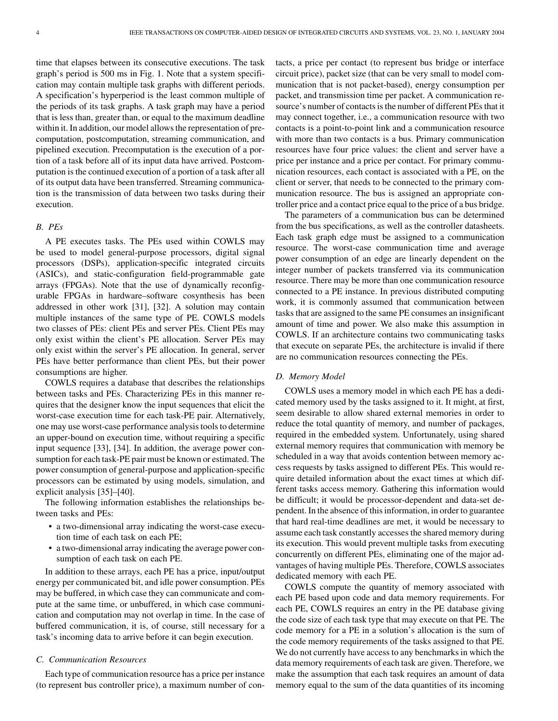time that elapses between its consecutive executions. The task graph's period is 500 ms in Fig. 1. Note that a system specification may contain multiple task graphs with different periods. A specification's hyperperiod is the least common multiple of the periods of its task graphs. A task graph may have a period that is less than, greater than, or equal to the maximum deadline within it. In addition, our model allows the representation of precomputation, postcomputation, streaming communication, and pipelined execution. Precomputation is the execution of a portion of a task before all of its input data have arrived. Postcomputation is the continued execution of a portion of a task after all of its output data have been transferred. Streaming communication is the transmission of data between two tasks during their execution.

# *B. PEs*

A PE executes tasks. The PEs used within COWLS may be used to model general-purpose processors, digital signal processors (DSPs), application-specific integrated circuits (ASICs), and static-configuration field-programmable gate arrays (FPGAs). Note that the use of dynamically reconfigurable FPGAs in hardware–software cosynthesis has been addressed in other work [\[31](#page-13-0)], [[32\]](#page-13-0). A solution may contain multiple instances of the same type of PE. COWLS models two classes of PEs: client PEs and server PEs. Client PEs may only exist within the client's PE allocation. Server PEs may only exist within the server's PE allocation. In general, server PEs have better performance than client PEs, but their power consumptions are higher.

COWLS requires a database that describes the relationships between tasks and PEs. Characterizing PEs in this manner requires that the designer know the input sequences that elicit the worst-case execution time for each task-PE pair. Alternatively, one may use worst-case performance analysis tools to determine an upper-bound on execution time, without requiring a specific input sequence [[33\]](#page-13-0), [\[34](#page-13-0)]. In addition, the average power consumption for each task-PE pair must be known or estimated. The power consumption of general-purpose and application-specific processors can be estimated by using models, simulation, and explicit analysis [\[35](#page-13-0)]–[\[40](#page-13-0)].

The following information establishes the relationships between tasks and PEs:

- a two-dimensional array indicating the worst-case execution time of each task on each PE;
- a two-dimensional array indicating the average power consumption of each task on each PE.

In addition to these arrays, each PE has a price, input/output energy per communicated bit, and idle power consumption. PEs may be buffered, in which case they can communicate and compute at the same time, or unbuffered, in which case communication and computation may not overlap in time. In the case of buffered communication, it is, of course, still necessary for a task's incoming data to arrive before it can begin execution.

# *C. Communication Resources*

Each type of communication resource has a price per instance (to represent bus controller price), a maximum number of contacts, a price per contact (to represent bus bridge or interface circuit price), packet size (that can be very small to model communication that is not packet-based), energy consumption per packet, and transmission time per packet. A communication resource's number of contacts is the number of different PEs that it may connect together, i.e., a communication resource with two contacts is a point-to-point link and a communication resource with more than two contacts is a bus. Primary communication resources have four price values: the client and server have a price per instance and a price per contact. For primary communication resources, each contact is associated with a PE, on the client or server, that needs to be connected to the primary communication resource. The bus is assigned an appropriate controller price and a contact price equal to the price of a bus bridge.

The parameters of a communication bus can be determined from the bus specifications, as well as the controller datasheets. Each task graph edge must be assigned to a communication resource. The worst-case communication time and average power consumption of an edge are linearly dependent on the integer number of packets transferred via its communication resource. There may be more than one communication resource connected to a PE instance. In previous distributed computing work, it is commonly assumed that communication between tasks that are assigned to the same PE consumes an insignificant amount of time and power. We also make this assumption in COWLS. If an architecture contains two communicating tasks that execute on separate PEs, the architecture is invalid if there are no communication resources connecting the PEs.

## *D. Memory Model*

COWLS uses a memory model in which each PE has a dedicated memory used by the tasks assigned to it. It might, at first, seem desirable to allow shared external memories in order to reduce the total quantity of memory, and number of packages, required in the embedded system. Unfortunately, using shared external memory requires that communication with memory be scheduled in a way that avoids contention between memory access requests by tasks assigned to different PEs. This would require detailed information about the exact times at which different tasks access memory. Gathering this information would be difficult; it would be processor-dependent and data-set dependent. In the absence of this information, in order to guarantee that hard real-time deadlines are met, it would be necessary to assume each task constantly accesses the shared memory during its execution. This would prevent multiple tasks from executing concurrently on different PEs, eliminating one of the major advantages of having multiple PEs. Therefore, COWLS associates dedicated memory with each PE.

COWLS compute the quantity of memory associated with each PE based upon code and data memory requirements. For each PE, COWLS requires an entry in the PE database giving the code size of each task type that may execute on that PE. The code memory for a PE in a solution's allocation is the sum of the code memory requirements of the tasks assigned to that PE. We do not currently have access to any benchmarks in which the data memory requirements of each task are given. Therefore, we make the assumption that each task requires an amount of data memory equal to the sum of the data quantities of its incoming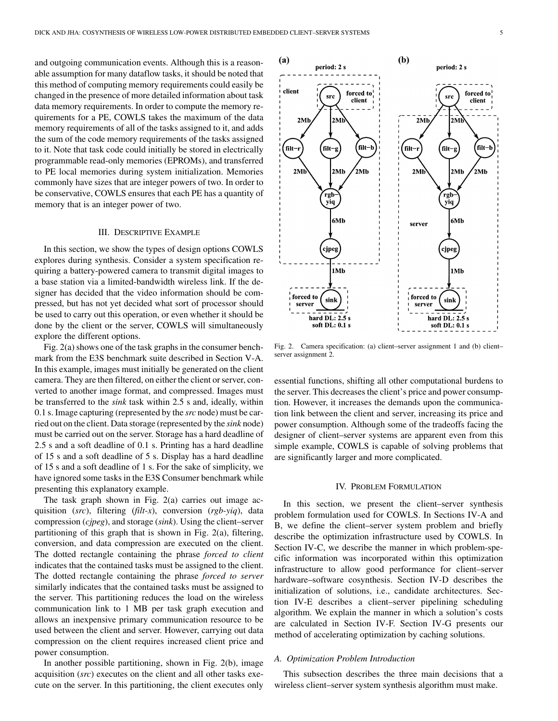and outgoing communication events. Although this is a reasonable assumption for many dataflow tasks, it should be noted that this method of computing memory requirements could easily be changed in the presence of more detailed information about task data memory requirements. In order to compute the memory requirements for a PE, COWLS takes the maximum of the data memory requirements of all of the tasks assigned to it, and adds the sum of the code memory requirements of the tasks assigned to it. Note that task code could initially be stored in electrically programmable read-only memories (EPROMs), and transferred to PE local memories during system initialization. Memories commonly have sizes that are integer powers of two. In order to be conservative, COWLS ensures that each PE has a quantity of memory that is an integer power of two.

## III. DESCRIPTIVE EXAMPLE

In this section, we show the types of design options COWLS explores during synthesis. Consider a system specification requiring a battery-powered camera to transmit digital images to a base station via a limited-bandwidth wireless link. If the designer has decided that the video information should be compressed, but has not yet decided what sort of processor should be used to carry out this operation, or even whether it should be done by the client or the server, COWLS will simultaneously explore the different options.

Fig. 2(a) shows one of the task graphs in the consumer benchmark from the E3S benchmark suite described in Section V-A. In this example, images must initially be generated on the client camera. They are then filtered, on either the client or server, converted to another image format, and compressed. Images must be transferred to the *sink* task within 2.5 s and, ideally, within 0.1 s. Image capturing (represented by the *src* node) must be carried out on the client. Data storage (represented by the *sink* node) must be carried out on the server. Storage has a hard deadline of 2.5 s and a soft deadline of 0.1 s. Printing has a hard deadline of 15 s and a soft deadline of 5 s. Display has a hard deadline of 15 s and a soft deadline of 1 s. For the sake of simplicity, we have ignored some tasks in the E3S Consumer benchmark while presenting this explanatory example.

The task graph shown in Fig. 2(a) carries out image acquisition (*src*), filtering (*filt-x*), conversion (*rgb-yiq*), data compression (*cjpeg*), and storage (*sink*). Using the client–server partitioning of this graph that is shown in Fig. 2(a), filtering, conversion, and data compression are executed on the client. The dotted rectangle containing the phrase *forced to client* indicates that the contained tasks must be assigned to the client. The dotted rectangle containing the phrase *forced to server* similarly indicates that the contained tasks must be assigned to the server. This partitioning reduces the load on the wireless communication link to 1 MB per task graph execution and allows an inexpensive primary communication resource to be used between the client and server. However, carrying out data compression on the client requires increased client price and power consumption.

In another possible partitioning, shown in Fig. 2(b), image acquisition (*src*) executes on the client and all other tasks execute on the server. In this partitioning, the client executes only



Fig. 2. Camera specification: (a) client–server assignment 1 and (b) client– server assignment 2.

essential functions, shifting all other computational burdens to the server. This decreases the client's price and power consumption. However, it increases the demands upon the communication link between the client and server, increasing its price and power consumption. Although some of the tradeoffs facing the designer of client–server systems are apparent even from this simple example, COWLS is capable of solving problems that are significantly larger and more complicated.

#### IV. PROBLEM FORMULATION

In this section, we present the client–server synthesis problem formulation used for COWLS. In Sections IV-A and B, we define the client–server system problem and briefly describe the optimization infrastructure used by COWLS. In Section IV-C, we describe the manner in which problem-specific information was incorporated within this optimization infrastructure to allow good performance for client–server hardware–software cosynthesis. Section IV-D describes the initialization of solutions, i.e., candidate architectures. Section IV-E describes a client–server pipelining scheduling algorithm. We explain the manner in which a solution's costs are calculated in Section IV-F. Section IV-G presents our method of accelerating optimization by caching solutions.

#### *A. Optimization Problem Introduction*

This subsection describes the three main decisions that a wireless client–server system synthesis algorithm must make.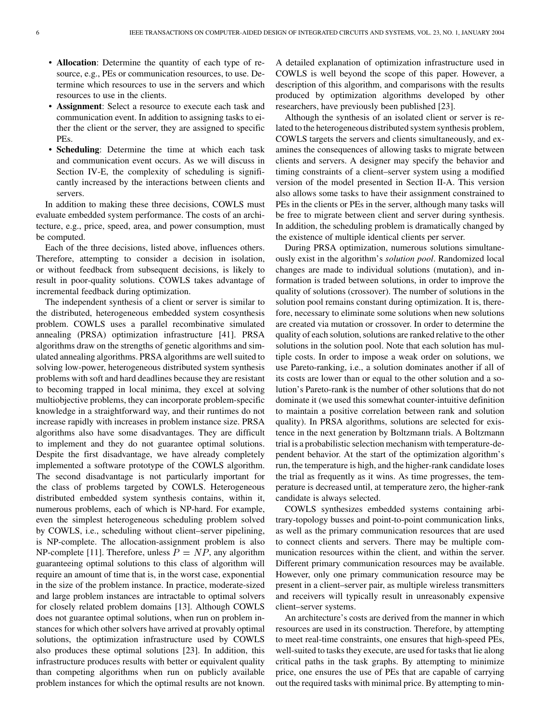- **Allocation**: Determine the quantity of each type of resource, e.g., PEs or communication resources, to use. Determine which resources to use in the servers and which resources to use in the clients.
- **Assignment**: Select a resource to execute each task and communication event. In addition to assigning tasks to either the client or the server, they are assigned to specific PEs.
- **Scheduling**: Determine the time at which each task and communication event occurs. As we will discuss in Section IV-E, the complexity of scheduling is significantly increased by the interactions between clients and servers.

In addition to making these three decisions, COWLS must evaluate embedded system performance. The costs of an architecture, e.g., price, speed, area, and power consumption, must be computed.

Each of the three decisions, listed above, influences others. Therefore, attempting to consider a decision in isolation, or without feedback from subsequent decisions, is likely to result in poor-quality solutions. COWLS takes advantage of incremental feedback during optimization.

The independent synthesis of a client or server is similar to the distributed, heterogeneous embedded system cosynthesis problem. COWLS uses a parallel recombinative simulated annealing (PRSA) optimization infrastructure [\[41](#page-13-0)]. PRSA algorithms draw on the strengths of genetic algorithms and simulated annealing algorithms. PRSA algorithms are well suited to solving low-power, heterogeneous distributed system synthesis problems with soft and hard deadlines because they are resistant to becoming trapped in local minima, they excel at solving multiobjective problems, they can incorporate problem-specific knowledge in a straightforward way, and their runtimes do not increase rapidly with increases in problem instance size. PRSA algorithms also have some disadvantages. They are difficult to implement and they do not guarantee optimal solutions. Despite the first disadvantage, we have already completely implemented a software prototype of the COWLS algorithm. The second disadvantage is not particularly important for the class of problems targeted by COWLS. Heterogeneous distributed embedded system synthesis contains, within it, numerous problems, each of which is NP-hard. For example, even the simplest heterogeneous scheduling problem solved by COWLS, i.e., scheduling without client–server pipelining, is NP-complete. The allocation-assignment problem is also NP-complete [\[11](#page-13-0)]. Therefore, unless  $P = NP$ , any algorithm guaranteeing optimal solutions to this class of algorithm will require an amount of time that is, in the worst case, exponential in the size of the problem instance. In practice, moderate-sized and large problem instances are intractable to optimal solvers for closely related problem domains [\[13](#page-13-0)]. Although COWLS does not guarantee optimal solutions, when run on problem instances for which other solvers have arrived at provably optimal solutions, the optimization infrastructure used by COWLS also produces these optimal solutions [[23\]](#page-13-0). In addition, this infrastructure produces results with better or equivalent quality than competing algorithms when run on publicly available problem instances for which the optimal results are not known. A detailed explanation of optimization infrastructure used in COWLS is well beyond the scope of this paper. However, a description of this algorithm, and comparisons with the results produced by optimization algorithms developed by other researchers, have previously been published [\[23](#page-13-0)].

Although the synthesis of an isolated client or server is related to the heterogeneous distributed system synthesis problem, COWLS targets the servers and clients simultaneously, and examines the consequences of allowing tasks to migrate between clients and servers. A designer may specify the behavior and timing constraints of a client–server system using a modified version of the model presented in Section II-A. This version also allows some tasks to have their assignment constrained to PEs in the clients or PEs in the server, although many tasks will be free to migrate between client and server during synthesis. In addition, the scheduling problem is dramatically changed by the existence of multiple identical clients per server.

During PRSA optimization, numerous solutions simultaneously exist in the algorithm's *solution pool*. Randomized local changes are made to individual solutions (mutation), and information is traded between solutions, in order to improve the quality of solutions (crossover). The number of solutions in the solution pool remains constant during optimization. It is, therefore, necessary to eliminate some solutions when new solutions are created via mutation or crossover. In order to determine the quality of each solution, solutions are ranked relative to the other solutions in the solution pool. Note that each solution has multiple costs. In order to impose a weak order on solutions, we use Pareto-ranking, i.e., a solution dominates another if all of its costs are lower than or equal to the other solution and a solution's Pareto-rank is the number of other solutions that do not dominate it (we used this somewhat counter-intuitive definition to maintain a positive correlation between rank and solution quality). In PRSA algorithms, solutions are selected for existence in the next generation by Boltzmann trials. A Boltzmann trial is a probabilistic selection mechanism with temperature-dependent behavior. At the start of the optimization algorithm's run, the temperature is high, and the higher-rank candidate loses the trial as frequently as it wins. As time progresses, the temperature is decreased until, at temperature zero, the higher-rank candidate is always selected.

COWLS synthesizes embedded systems containing arbitrary-topology busses and point-to-point communication links, as well as the primary communication resources that are used to connect clients and servers. There may be multiple communication resources within the client, and within the server. Different primary communication resources may be available. However, only one primary communication resource may be present in a client–server pair, as multiple wireless transmitters and receivers will typically result in unreasonably expensive client–server systems.

An architecture's costs are derived from the manner in which resources are used in its construction. Therefore, by attempting to meet real-time constraints, one ensures that high-speed PEs, well-suited to tasks they execute, are used for tasks that lie along critical paths in the task graphs. By attempting to minimize price, one ensures the use of PEs that are capable of carrying out the required tasks with minimal price. By attempting to min-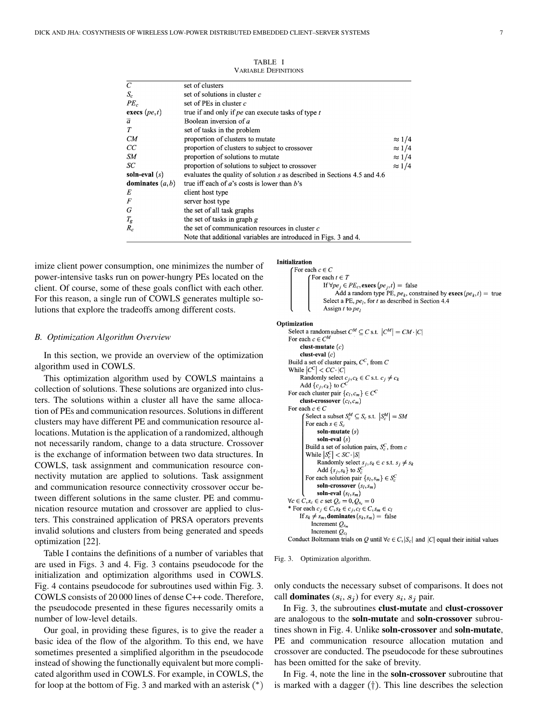| $\overline{C}$     | set of clusters                                                          |               |
|--------------------|--------------------------------------------------------------------------|---------------|
| $S_c$              | set of solutions in cluster c                                            |               |
| $PE_c$             | set of PEs in cluster $c$                                                |               |
| execs $(pe, t)$    | true if and only if pe can execute tasks of type t                       |               |
| $\bar{a}$          | Boolean inversion of a                                                   |               |
| $\boldsymbol{T}$   | set of tasks in the problem                                              |               |
| CМ                 | proportion of clusters to mutate                                         | $\approx 1/4$ |
| CC                 | proportion of clusters to subject to crossover                           | $\approx 1/4$ |
| <b>SM</b>          | proportion of solutions to mutate                                        | $\approx 1/4$ |
| SC                 | proportion of solutions to subject to crossover                          | $\approx 1/4$ |
| soln-eval $(s)$    | evaluates the quality of solution s as described in Sections 4.5 and 4.6 |               |
| dominates $(a, b)$ | true iff each of $a$ 's costs is lower than $b$ 's                       |               |
| Е                  | client host type                                                         |               |
| F                  | server host type                                                         |               |
| G                  | the set of all task graphs                                               |               |
| $T_g$              | the set of tasks in graph g                                              |               |
| $R_c$              | the set of communication resources in cluster $c$                        |               |
|                    | Note that additional variables are introduced in Figs. 3 and 4.          |               |

TABLE I VARIABLE DEFINITIONS

imize client power consumption, one minimizes the number of power-intensive tasks run on power-hungry PEs located on the client. Of course, some of these goals conflict with each other. For this reason, a single run of COWLS generates multiple solutions that explore the tradeoffs among different costs.

## *B. Optimization Algorithm Overview*

In this section, we provide an overview of the optimization algorithm used in COWLS.

This optimization algorithm used by COWLS maintains a collection of solutions. These solutions are organized into clusters. The solutions within a cluster all have the same allocation of PEs and communication resources. Solutions in different clusters may have different PE and communication resource allocations. Mutation is the application of a randomized, although not necessarily random, change to a data structure. Crossover is the exchange of information between two data structures. In COWLS, task assignment and communication resource connectivity mutation are applied to solutions. Task assignment and communication resource connectivity crossover occur between different solutions in the same cluster. PE and communication resource mutation and crossover are applied to clusters. This constrained application of PRSA operators prevents invalid solutions and clusters from being generated and speeds optimization [[22\]](#page-13-0).

Table I contains the definitions of a number of variables that are used in Figs. 3 and 4. Fig. 3 contains pseudocode for the initialization and optimization algorithms used in COWLS. Fig. 4 contains pseudocode for subroutines used within Fig. 3. COWLS consists of 20 000 lines of dense C++ code. Therefore, the pseudocode presented in these figures necessarily omits a number of low-level details.

Our goal, in providing these figures, is to give the reader a basic idea of the flow of the algorithm. To this end, we have sometimes presented a simplified algorithm in the pseudocode instead of showing the functionally equivalent but more complicated algorithm used in COWLS. For example, in COWLS, the for loop at the bottom of Fig. 3 and marked with an asterisk  $(*)$ 

# Initialization

```
For each c \in CCFor each t \in TIf \forall pe_j \in PE_c, execs (pe_j, t) = false
                 Add a random type PE, pe_k, constrained by execs (pe_k, t) = true
            Select a PE, pe_l, for t as described in Section 4.4
            Assign t to pe_1
```
#### Ontimization

```
Select a random subset C^M \subseteq C s.t. |C^M| = CM \cdot |C|For each c \in C^Mclust-mutate (c)clust-eval (c)Build a set of cluster pairs, C^C, from C
While |C^C| < CC \cdot |C|Randomly select c_j, c_k \in C s.t. c_j \neq c_kAdd \{c_j, c_k\} to CFor each cluster pair \{c_l, c_m\} \in C^Cclust-crossover (c_l, c_m)For each c \in CSelect a subset S_c^M \subseteq S_c s.t. |S_c^M| = SMFor each s \in Ssoln-mutate (s)soln-eval (s)Build a set of solution pairs, S_c^C, from c
        While |S_c^C| < SC \cdot |S|Randomly select s_j, s_k \in c s.t. s_j \neq s_kAdd \{s_j, s_k\} to S_c^CFor each solution pair \{s_l, s_m\} \in S_c^Csoln-crossover (s_l, s_m)soln-eval (s_l, s_m)\forall c \in C, s_c \in c set Q_c = 0, Q_{s_c} = 0* For each c_j \in C, s_k \in c_j, c_l \in C, s_m \in c_lIf s_k \neq s_m, dominates (s_k, s_m) = false
          Increment Q_{s_m}Increment O<sub>c</sub>
```
Conduct Boltzmann trials on Q until  $\forall c \in C, |S_c|$  and  $|C|$  equal their initial values

Fig. 3. Optimization algorithm.

only conducts the necessary subset of comparisons. It does not call **dominates**  $(s_i, s_j)$  for every  $s_i, s_j$  pair.

In Fig. 3, the subroutines **clust-mutate** and **clust-crossover** are analogous to the **soln-mutate** and **soln-crossover** subroutines shown in Fig. 4. Unlike **soln-crossover** and **soln-mutate**, PE and communication resource allocation mutation and crossover are conducted. The pseudocode for these subroutines has been omitted for the sake of brevity.

In Fig. 4, note the line in the **soln-crossover** subroutine that is marked with a dagger  $(\dagger)$ . This line describes the selection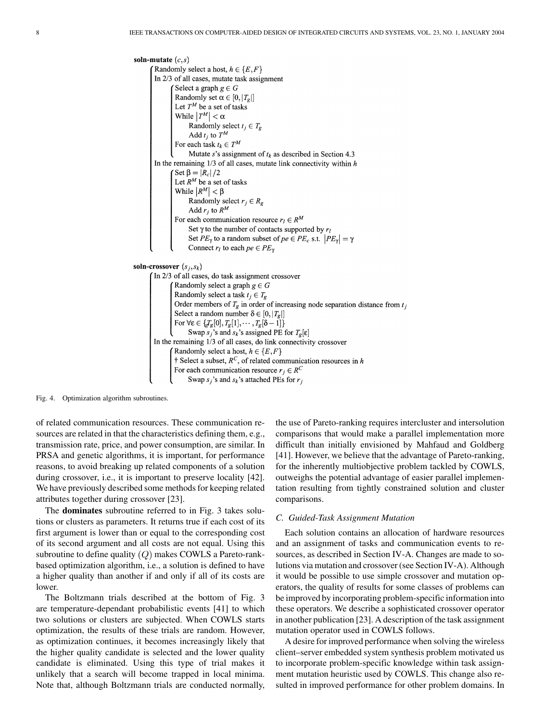soln-mutate  $(c,s)$ Randomly select a host,  $h \in \{E, F\}$ In 2/3 of all cases, mutate task assignment Select a graph  $g \in G$ Randomly set  $\alpha \in [0, |T_g|]$ Let  $T^M$  be a set of tasks While  $|T^M| < \alpha$ Randomly select  $t_i \in T_g$ Add  $t_j$  to  $T^M$ For each task  $t_k \in T^M$ Mutate s's assignment of  $t_k$  as described in Section 4.3 In the remaining  $1/3$  of all cases, mutate link connectivity within  $h$ Set β =  $|R_c|/2$ Let  $R^M$  be a set of tasks While  $|R^M| < \beta$ Randomly select  $r_i \in R_g$ Add  $r_j$  to  $R^M$ For each communication resource  $r_l \in R^M$ Set  $\gamma$  to the number of contacts supported by  $r_l$ Set  $PE_{\gamma}$  to a random subset of  $pe \in PE_c$  s.t.  $|PE_{\gamma}| = \gamma$ Connect  $r_l$  to each  $pe \in PE_{\gamma}$ soln-crossover  $(s_i, s_k)$ In 2/3 of all cases, do task assignment crossover Randomly select a graph  $g \in G$ Randomly select a task  $t_i \in T_g$ Order members of  $T_g$  in order of increasing node separation distance from  $t_i$ Select a random number  $\delta \in [0, |T_g|]$ For  $\forall \varepsilon \in \{\mathcal{I}_{g}[0], T_{g}[1], \cdots, T_{g}[\delta-1]\}$ Swap  $s_j$ 's and  $s_k$ 's assigned PE for  $T_g[\varepsilon]$ In the remaining 1/3 of all cases, do link connectivity crossover Randomly select a host,  $h \in \{E, F\}$ † Select a subset,  $R^C$ , of related communication resources in h For each communication resource  $r_i \in R^C$ Swap  $s_i$ 's and  $s_k$ 's attached PEs for  $r_i$ 



of related communication resources. These communication resources are related in that the characteristics defining them, e.g., transmission rate, price, and power consumption, are similar. In PRSA and genetic algorithms, it is important, for performance reasons, to avoid breaking up related components of a solution during crossover, i.e., it is important to preserve locality [[42\]](#page-13-0). We have previously described some methods for keeping related attributes together during crossover [\[23](#page-13-0)].

The **dominates** subroutine referred to in Fig. 3 takes solutions or clusters as parameters. It returns true if each cost of its first argument is lower than or equal to the corresponding cost of its second argument and all costs are not equal. Using this subroutine to define quality  $(Q)$  makes COWLS a Pareto-rankbased optimization algorithm, i.e., a solution is defined to have a higher quality than another if and only if all of its costs are lower.

The Boltzmann trials described at the bottom of Fig. 3 are temperature-dependant probabilistic events [\[41](#page-13-0)] to which two solutions or clusters are subjected. When COWLS starts optimization, the results of these trials are random. However, as optimization continues, it becomes increasingly likely that the higher quality candidate is selected and the lower quality candidate is eliminated. Using this type of trial makes it unlikely that a search will become trapped in local minima. Note that, although Boltzmann trials are conducted normally, the use of Pareto-ranking requires intercluster and intersolution comparisons that would make a parallel implementation more difficult than initially envisioned by Mahfaud and Goldberg [[41\]](#page-13-0). However, we believe that the advantage of Pareto-ranking, for the inherently multiobjective problem tackled by COWLS, outweighs the potential advantage of easier parallel implementation resulting from tightly constrained solution and cluster comparisons.

#### *C. Guided-Task Assignment Mutation*

Each solution contains an allocation of hardware resources and an assignment of tasks and communication events to resources, as described in Section IV-A. Changes are made to solutions via mutation and crossover (see Section IV-A). Although it would be possible to use simple crossover and mutation operators, the quality of results for some classes of problems can be improved by incorporating problem-specific information into these operators. We describe a sophisticated crossover operator in another publication [[23\]](#page-13-0). A description of the task assignment mutation operator used in COWLS follows.

A desire for improved performance when solving the wireless client–server embedded system synthesis problem motivated us to incorporate problem-specific knowledge within task assignment mutation heuristic used by COWLS. This change also resulted in improved performance for other problem domains. In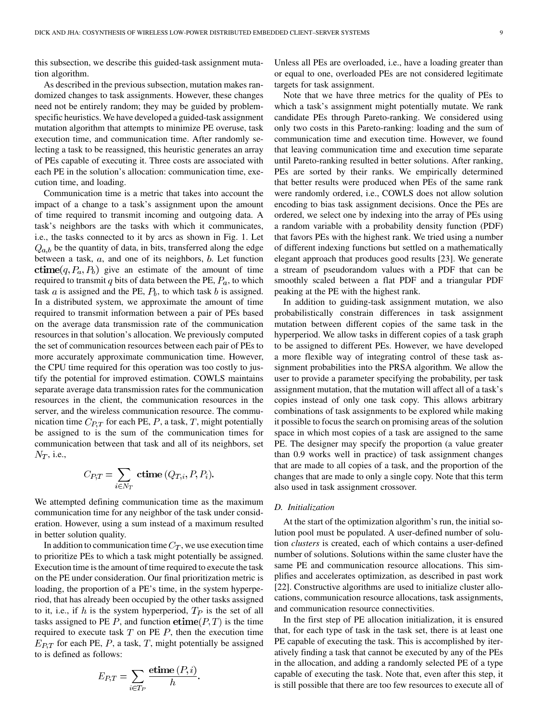this subsection, we describe this guided-task assignment mutation algorithm.

As described in the previous subsection, mutation makes randomized changes to task assignments. However, these changes need not be entirely random; they may be guided by problemspecific heuristics. We have developed a guided-task assignment mutation algorithm that attempts to minimize PE overuse, task execution time, and communication time. After randomly selecting a task to be reassigned, this heuristic generates an array of PEs capable of executing it. Three costs are associated with each PE in the solution's allocation: communication time, execution time, and loading.

Communication time is a metric that takes into account the impact of a change to a task's assignment upon the amount of time required to transmit incoming and outgoing data. A task's neighbors are the tasks with which it communicates, i.e., the tasks connected to it by arcs as shown in Fig. 1. Let  $Q_{a,b}$  be the quantity of data, in bits, transferred along the edge between a task,  $a$ , and one of its neighbors,  $b$ . Let function  $ctime(q, P_a, P_b)$  give an estimate of the amount of time required to transmit q bits of data between the PE,  $P_a$ , to which task  $a$  is assigned and the PE,  $P_b$ , to which task  $b$  is assigned. In a distributed system, we approximate the amount of time required to transmit information between a pair of PEs based on the average data transmission rate of the communication resources in that solution's allocation. We previously computed the set of communication resources between each pair of PEs to more accurately approximate communication time. However, the CPU time required for this operation was too costly to justify the potential for improved estimation. COWLS maintains separate average data transmission rates for the communication resources in the client, the communication resources in the server, and the wireless communication resource. The communication time  $C_{P,T}$  for each PE, P, a task, T, might potentially be assigned to is the sum of the communication times for communication between that task and all of its neighbors, set  $N_T$ , i.e.,

$$
C_{P,T} = \sum_{i \in N_T} \text{ctime } (Q_{T,i}, P, P_i).
$$

We attempted defining communication time as the maximum communication time for any neighbor of the task under consideration. However, using a sum instead of a maximum resulted in better solution quality.

In addition to communication time  $C_T$ , we use execution time to prioritize PEs to which a task might potentially be assigned. Execution time is the amount of time required to execute the task on the PE under consideration. Our final prioritization metric is loading, the proportion of a PE's time, in the system hyperperiod, that has already been occupied by the other tasks assigned to it, i.e., if h is the system hyperperiod,  $T_P$  is the set of all tasks assigned to PE P, and function  $\text{etime}(P, T)$  is the time required to execute task  $T$  on PE  $P$ , then the execution time  $E_{P,T}$  for each PE, P, a task, T, might potentially be assigned to is defined as follows:

$$
E_{P,T} = \sum_{i \in T_P} \frac{\text{etime } (P, i)}{h}
$$

Unless all PEs are overloaded, i.e., have a loading greater than or equal to one, overloaded PEs are not considered legitimate targets for task assignment.

Note that we have three metrics for the quality of PEs to which a task's assignment might potentially mutate. We rank candidate PEs through Pareto-ranking. We considered using only two costs in this Pareto-ranking: loading and the sum of communication time and execution time. However, we found that leaving communication time and execution time separate until Pareto-ranking resulted in better solutions. After ranking, PEs are sorted by their ranks. We empirically determined that better results were produced when PEs of the same rank were randomly ordered, i.e., COWLS does not allow solution encoding to bias task assignment decisions. Once the PEs are ordered, we select one by indexing into the array of PEs using a random variable with a probability density function (PDF) that favors PEs with the highest rank. We tried using a number of different indexing functions but settled on a mathematically elegant approach that produces good results [[23\]](#page-13-0). We generate a stream of pseudorandom values with a PDF that can be smoothly scaled between a flat PDF and a triangular PDF peaking at the PE with the highest rank.

In addition to guiding-task assignment mutation, we also probabilistically constrain differences in task assignment mutation between different copies of the same task in the hyperperiod. We allow tasks in different copies of a task graph to be assigned to different PEs. However, we have developed a more flexible way of integrating control of these task assignment probabilities into the PRSA algorithm. We allow the user to provide a parameter specifying the probability, per task assignment mutation, that the mutation will affect all of a task's copies instead of only one task copy. This allows arbitrary combinations of task assignments to be explored while making it possible to focus the search on promising areas of the solution space in which most copies of a task are assigned to the same PE. The designer may specify the proportion (a value greater than 0.9 works well in practice) of task assignment changes that are made to all copies of a task, and the proportion of the changes that are made to only a single copy. Note that this term also used in task assignment crossover.

## *D. Initialization*

At the start of the optimization algorithm's run, the initial solution pool must be populated. A user-defined number of solution *clusters* is created, each of which contains a user-defined number of solutions. Solutions within the same cluster have the same PE and communication resource allocations. This simplifies and accelerates optimization, as described in past work [\[22](#page-13-0)]. Constructive algorithms are used to initialize cluster allocations, communication resource allocations, task assignments, and communication resource connectivities.

In the first step of PE allocation initialization, it is ensured that, for each type of task in the task set, there is at least one PE capable of executing the task. This is accomplished by iteratively finding a task that cannot be executed by any of the PEs in the allocation, and adding a randomly selected PE of a type capable of executing the task. Note that, even after this step, it is still possible that there are too few resources to execute all of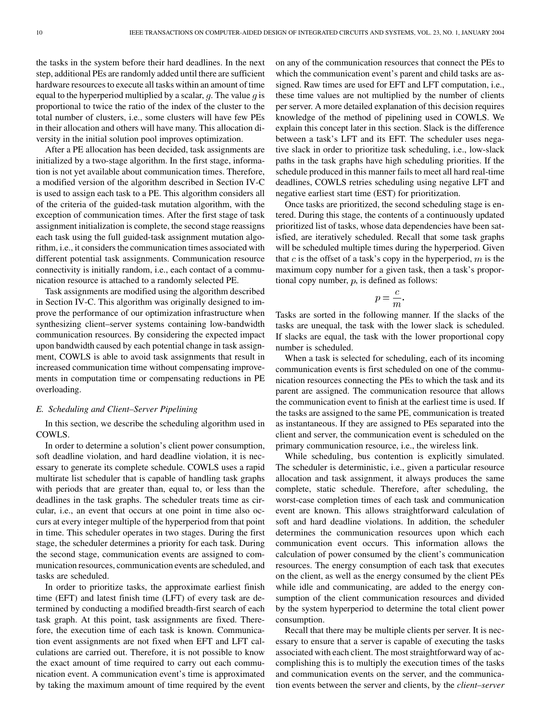the tasks in the system before their hard deadlines. In the next step, additional PEs are randomly added until there are sufficient hardware resources to execute all tasks within an amount of time equal to the hyperperiod multiplied by a scalar,  $q$ . The value  $q$  is proportional to twice the ratio of the index of the cluster to the total number of clusters, i.e., some clusters will have few PEs in their allocation and others will have many. This allocation diversity in the initial solution pool improves optimization.

After a PE allocation has been decided, task assignments are initialized by a two-stage algorithm. In the first stage, information is not yet available about communication times. Therefore, a modified version of the algorithm described in Section IV-C is used to assign each task to a PE. This algorithm considers all of the criteria of the guided-task mutation algorithm, with the exception of communication times. After the first stage of task assignment initialization is complete, the second stage reassigns each task using the full guided-task assignment mutation algorithm, i.e., it considers the communication times associated with different potential task assignments. Communication resource connectivity is initially random, i.e., each contact of a communication resource is attached to a randomly selected PE.

Task assignments are modified using the algorithm described in Section IV-C. This algorithm was originally designed to improve the performance of our optimization infrastructure when synthesizing client–server systems containing low-bandwidth communication resources. By considering the expected impact upon bandwidth caused by each potential change in task assignment, COWLS is able to avoid task assignments that result in increased communication time without compensating improvements in computation time or compensating reductions in PE overloading.

# *E. Scheduling and Client–Server Pipelining*

In this section, we describe the scheduling algorithm used in COWLS.

In order to determine a solution's client power consumption, soft deadline violation, and hard deadline violation, it is necessary to generate its complete schedule. COWLS uses a rapid multirate list scheduler that is capable of handling task graphs with periods that are greater than, equal to, or less than the deadlines in the task graphs. The scheduler treats time as circular, i.e., an event that occurs at one point in time also occurs at every integer multiple of the hyperperiod from that point in time. This scheduler operates in two stages. During the first stage, the scheduler determines a priority for each task. During the second stage, communication events are assigned to communication resources, communication events are scheduled, and tasks are scheduled.

In order to prioritize tasks, the approximate earliest finish time (EFT) and latest finish time (LFT) of every task are determined by conducting a modified breadth-first search of each task graph. At this point, task assignments are fixed. Therefore, the execution time of each task is known. Communication event assignments are not fixed when EFT and LFT calculations are carried out. Therefore, it is not possible to know the exact amount of time required to carry out each communication event. A communication event's time is approximated by taking the maximum amount of time required by the event on any of the communication resources that connect the PEs to which the communication event's parent and child tasks are assigned. Raw times are used for EFT and LFT computation, i.e., these time values are not multiplied by the number of clients per server. A more detailed explanation of this decision requires knowledge of the method of pipelining used in COWLS. We explain this concept later in this section. Slack is the difference between a task's LFT and its EFT. The scheduler uses negative slack in order to prioritize task scheduling, i.e., low-slack paths in the task graphs have high scheduling priorities. If the schedule produced in this manner fails to meet all hard real-time deadlines, COWLS retries scheduling using negative LFT and negative earliest start time (EST) for prioritization.

Once tasks are prioritized, the second scheduling stage is entered. During this stage, the contents of a continuously updated prioritized list of tasks, whose data dependencies have been satisfied, are iteratively scheduled. Recall that some task graphs will be scheduled multiple times during the hyperperiod. Given that c is the offset of a task's copy in the hyperperiod,  $m$  is the maximum copy number for a given task, then a task's proportional copy number,  $p$ , is defined as follows:

$$
p = \frac{c}{m}.
$$

Tasks are sorted in the following manner. If the slacks of the tasks are unequal, the task with the lower slack is scheduled. If slacks are equal, the task with the lower proportional copy number is scheduled.

When a task is selected for scheduling, each of its incoming communication events is first scheduled on one of the communication resources connecting the PEs to which the task and its parent are assigned. The communication resource that allows the communication event to finish at the earliest time is used. If the tasks are assigned to the same PE, communication is treated as instantaneous. If they are assigned to PEs separated into the client and server, the communication event is scheduled on the primary communication resource, i.e., the wireless link.

While scheduling, bus contention is explicitly simulated. The scheduler is deterministic, i.e., given a particular resource allocation and task assignment, it always produces the same complete, static schedule. Therefore, after scheduling, the worst-case completion times of each task and communication event are known. This allows straightforward calculation of soft and hard deadline violations. In addition, the scheduler determines the communication resources upon which each communication event occurs. This information allows the calculation of power consumed by the client's communication resources. The energy consumption of each task that executes on the client, as well as the energy consumed by the client PEs while idle and communicating, are added to the energy consumption of the client communication resources and divided by the system hyperperiod to determine the total client power consumption.

Recall that there may be multiple clients per server. It is necessary to ensure that a server is capable of executing the tasks associated with each client. The most straightforward way of accomplishing this is to multiply the execution times of the tasks and communication events on the server, and the communication events between the server and clients, by the *client–server*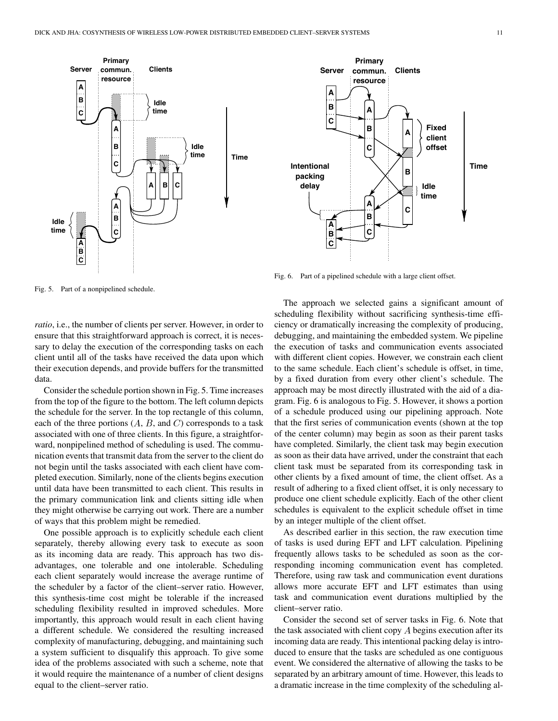



Fig. 5. Part of a nonpipelined schedule.

*ratio*, i.e., the number of clients per server. However, in order to ensure that this straightforward approach is correct, it is necessary to delay the execution of the corresponding tasks on each client until all of the tasks have received the data upon which their execution depends, and provide buffers for the transmitted data.

Consider the schedule portion shown in Fig. 5. Time increases from the top of the figure to the bottom. The left column depicts the schedule for the server. In the top rectangle of this column, each of the three portions  $(A, B, \text{ and } C)$  corresponds to a task associated with one of three clients. In this figure, a straightforward, nonpipelined method of scheduling is used. The communication events that transmit data from the server to the client do not begin until the tasks associated with each client have completed execution. Similarly, none of the clients begins execution until data have been transmitted to each client. This results in the primary communication link and clients sitting idle when they might otherwise be carrying out work. There are a number of ways that this problem might be remedied.

One possible approach is to explicitly schedule each client separately, thereby allowing every task to execute as soon as its incoming data are ready. This approach has two disadvantages, one tolerable and one intolerable. Scheduling each client separately would increase the average runtime of the scheduler by a factor of the client–server ratio. However, this synthesis-time cost might be tolerable if the increased scheduling flexibility resulted in improved schedules. More importantly, this approach would result in each client having a different schedule. We considered the resulting increased complexity of manufacturing, debugging, and maintaining such a system sufficient to disqualify this approach. To give some idea of the problems associated with such a scheme, note that it would require the maintenance of a number of client designs equal to the client–server ratio.

Fig. 6. Part of a pipelined schedule with a large client offset.

The approach we selected gains a significant amount of scheduling flexibility without sacrificing synthesis-time efficiency or dramatically increasing the complexity of producing, debugging, and maintaining the embedded system. We pipeline the execution of tasks and communication events associated with different client copies. However, we constrain each client to the same schedule. Each client's schedule is offset, in time, by a fixed duration from every other client's schedule. The approach may be most directly illustrated with the aid of a diagram. Fig. 6 is analogous to Fig. 5. However, it shows a portion of a schedule produced using our pipelining approach. Note that the first series of communication events (shown at the top of the center column) may begin as soon as their parent tasks have completed. Similarly, the client task may begin execution as soon as their data have arrived, under the constraint that each client task must be separated from its corresponding task in other clients by a fixed amount of time, the client offset. As a result of adhering to a fixed client offset, it is only necessary to produce one client schedule explicitly. Each of the other client schedules is equivalent to the explicit schedule offset in time by an integer multiple of the client offset.

As described earlier in this section, the raw execution time of tasks is used during EFT and LFT calculation. Pipelining frequently allows tasks to be scheduled as soon as the corresponding incoming communication event has completed. Therefore, using raw task and communication event durations allows more accurate EFT and LFT estimates than using task and communication event durations multiplied by the client–server ratio.

Consider the second set of server tasks in Fig. 6. Note that the task associated with client copy  $A$  begins execution after its incoming data are ready. This intentional packing delay is introduced to ensure that the tasks are scheduled as one contiguous event. We considered the alternative of allowing the tasks to be separated by an arbitrary amount of time. However, this leads to a dramatic increase in the time complexity of the scheduling al-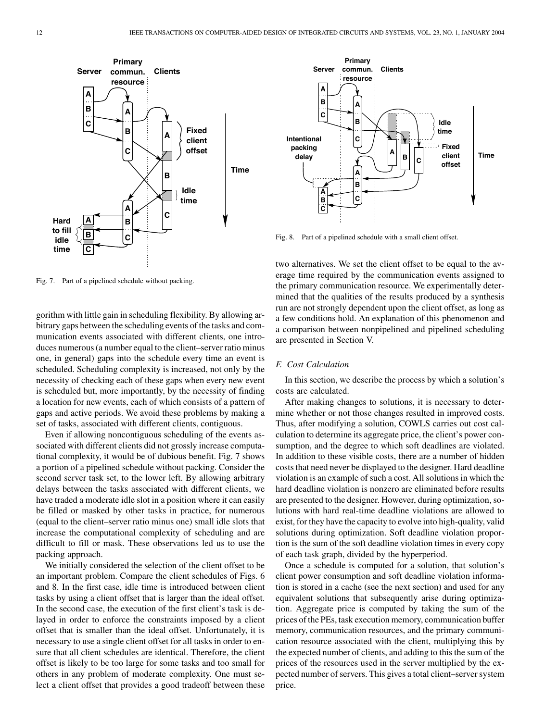

Fig. 7. Part of a pipelined schedule without packing.

gorithm with little gain in scheduling flexibility. By allowing arbitrary gaps between the scheduling events of the tasks and communication events associated with different clients, one introduces numerous (a number equal to the client–server ratio minus one, in general) gaps into the schedule every time an event is scheduled. Scheduling complexity is increased, not only by the necessity of checking each of these gaps when every new event is scheduled but, more importantly, by the necessity of finding a location for new events, each of which consists of a pattern of gaps and active periods. We avoid these problems by making a set of tasks, associated with different clients, contiguous.

Even if allowing noncontiguous scheduling of the events associated with different clients did not grossly increase computational complexity, it would be of dubious benefit. Fig. 7 shows a portion of a pipelined schedule without packing. Consider the second server task set, to the lower left. By allowing arbitrary delays between the tasks associated with different clients, we have traded a moderate idle slot in a position where it can easily be filled or masked by other tasks in practice, for numerous (equal to the client–server ratio minus one) small idle slots that increase the computational complexity of scheduling and are difficult to fill or mask. These observations led us to use the packing approach.

We initially considered the selection of the client offset to be an important problem. Compare the client schedules of Figs. 6 and 8. In the first case, idle time is introduced between client tasks by using a client offset that is larger than the ideal offset. In the second case, the execution of the first client's task is delayed in order to enforce the constraints imposed by a client offset that is smaller than the ideal offset. Unfortunately, it is necessary to use a single client offset for all tasks in order to ensure that all client schedules are identical. Therefore, the client offset is likely to be too large for some tasks and too small for others in any problem of moderate complexity. One must select a client offset that provides a good tradeoff between these



Fig. 8. Part of a pipelined schedule with a small client offset.

two alternatives. We set the client offset to be equal to the average time required by the communication events assigned to the primary communication resource. We experimentally determined that the qualities of the results produced by a synthesis run are not strongly dependent upon the client offset, as long as a few conditions hold. An explanation of this phenomenon and a comparison between nonpipelined and pipelined scheduling are presented in Section V.

# *F. Cost Calculation*

In this section, we describe the process by which a solution's costs are calculated.

After making changes to solutions, it is necessary to determine whether or not those changes resulted in improved costs. Thus, after modifying a solution, COWLS carries out cost calculation to determine its aggregate price, the client's power consumption, and the degree to which soft deadlines are violated. In addition to these visible costs, there are a number of hidden costs that need never be displayed to the designer. Hard deadline violation is an example of such a cost. All solutions in which the hard deadline violation is nonzero are eliminated before results are presented to the designer. However, during optimization, solutions with hard real-time deadline violations are allowed to exist, for they have the capacity to evolve into high-quality, valid solutions during optimization. Soft deadline violation proportion is the sum of the soft deadline violation times in every copy of each task graph, divided by the hyperperiod.

Once a schedule is computed for a solution, that solution's client power consumption and soft deadline violation information is stored in a cache (see the next section) and used for any equivalent solutions that subsequently arise during optimization. Aggregate price is computed by taking the sum of the prices of the PEs, task execution memory, communication buffer memory, communication resources, and the primary communication resource associated with the client, multiplying this by the expected number of clients, and adding to this the sum of the prices of the resources used in the server multiplied by the expected number of servers. This gives a total client–server system price.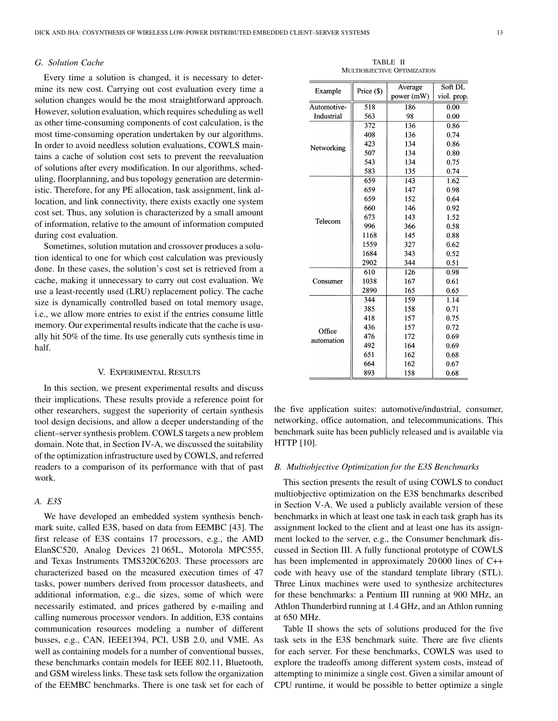## *G. Solution Cache*

Every time a solution is changed, it is necessary to determine its new cost. Carrying out cost evaluation every time a solution changes would be the most straightforward approach. However, solution evaluation, which requires scheduling as well as other time-consuming components of cost calculation, is the most time-consuming operation undertaken by our algorithms. In order to avoid needless solution evaluations, COWLS maintains a cache of solution cost sets to prevent the reevaluation of solutions after every modification. In our algorithms, scheduling, floorplanning, and bus topology generation are deterministic. Therefore, for any PE allocation, task assignment, link allocation, and link connectivity, there exists exactly one system cost set. Thus, any solution is characterized by a small amount of information, relative to the amount of information computed during cost evaluation.

Sometimes, solution mutation and crossover produces a solution identical to one for which cost calculation was previously done. In these cases, the solution's cost set is retrieved from a cache, making it unnecessary to carry out cost evaluation. We use a least-recently used (LRU) replacement policy. The cache size is dynamically controlled based on total memory usage, i.e., we allow more entries to exist if the entries consume little memory. Our experimental results indicate that the cache is usually hit 50% of the time. Its use generally cuts synthesis time in half.

#### V. EXPERIMENTAL RESULTS

In this section, we present experimental results and discuss their implications. These results provide a reference point for other researchers, suggest the superiority of certain synthesis tool design decisions, and allow a deeper understanding of the client–server synthesis problem. COWLS targets a new problem domain. Note that, in Section IV-A, we discussed the suitability of the optimization infrastructure used by COWLS, and referred readers to a comparison of its performance with that of past work.

# *A. E3S*

We have developed an embedded system synthesis benchmark suite, called E3S, based on data from EEMBC [\[43\]](#page-13-0). The first release of E3S contains 17 processors, e.g., the AMD ElanSC520, Analog Devices 21 065L, Motorola MPC555, and Texas Instruments TMS320C6203. These processors are characterized based on the measured execution times of 47 tasks, power numbers derived from processor datasheets, and additional information, e.g., die sizes, some of which were necessarily estimated, and prices gathered by e-mailing and calling numerous processor vendors. In addition, E3S contains communication resources modeling a number of different busses, e.g., CAN, IEEE1394, PCI, USB 2.0, and VME. As well as containing models for a number of conventional busses, these benchmarks contain models for IEEE 802.11, Bluetooth, and GSM wireless links. These task sets follow the organization of the EEMBC benchmarks. There is one task set for each of

TABLE II MULTIOBJECTIVE OPTIMIZATION

|             |            |            | Soft DL     |  |
|-------------|------------|------------|-------------|--|
| Example     | Price (\$) | Average    |             |  |
|             |            | power (mW) | viol. prop. |  |
| Automotive- | 518        | 186        | 0.00        |  |
| Industrial  | 563        | 98         | 0.00        |  |
|             | 372        | 136        | 0.86        |  |
|             | 408        | 136        | 0.74        |  |
| Networking  | 423        | 134        | 0.86        |  |
|             | 507        | 134        | 0.80        |  |
|             | 543        | 134        | 0.75        |  |
|             | 583        | 135        | 0.74        |  |
|             | 659        | 143        | 1.62        |  |
|             | 659        | 147        | 0.98        |  |
|             | 659        | 152        | 0.64        |  |
|             | 660        | 146        | 0.92        |  |
| Telecom     | 673        | 143        | 1.52        |  |
|             | 996        | 366        | 0.58        |  |
|             | 1168       | 145        | 0.88        |  |
|             | 1559       | 327        | 0.62        |  |
|             | 1684       | 343        | 0.52        |  |
|             | 2902       | 344        | 0.51        |  |
|             | 610        | 126        | 0.98        |  |
| Consumer    | 1038       | 167        | 0.61        |  |
|             | 2890       | 165        | 0.65        |  |
|             | 344        | 159        | 1.14        |  |
|             | 385        | 158        | 0.71        |  |
|             | 418        | 157        | 0.75        |  |
| Office      | 436        | 157        | 0.72        |  |
| automation  | 476        | 172        | 0.69        |  |
|             | 492        | 164        | 0.69        |  |
|             | 651        | 162        | 0.68        |  |
|             | 664        | 162        | 0.67        |  |
|             | 893        | 158        | 0.68        |  |

the five application suites: automotive/industrial, consumer, networking, office automation, and telecommunications. This benchmark suite has been publicly released and is available via HTTP [\[10](#page-13-0)].

# *B. Multiobjective Optimization for the E3S Benchmarks*

This section presents the result of using COWLS to conduct multiobjective optimization on the E3S benchmarks described in Section V-A. We used a publicly available version of these benchmarks in which at least one task in each task graph has its assignment locked to the client and at least one has its assignment locked to the server, e.g., the Consumer benchmark discussed in Section III. A fully functional prototype of COWLS has been implemented in approximately 20000 lines of C++ code with heavy use of the standard template library (STL). Three Linux machines were used to synthesize architectures for these benchmarks: a Pentium III running at 900 MHz, an Athlon Thunderbird running at 1.4 GHz, and an Athlon running at 650 MHz.

Table II shows the sets of solutions produced for the five task sets in the E3S benchmark suite. There are five clients for each server. For these benchmarks, COWLS was used to explore the tradeoffs among different system costs, instead of attempting to minimize a single cost. Given a similar amount of CPU runtime, it would be possible to better optimize a single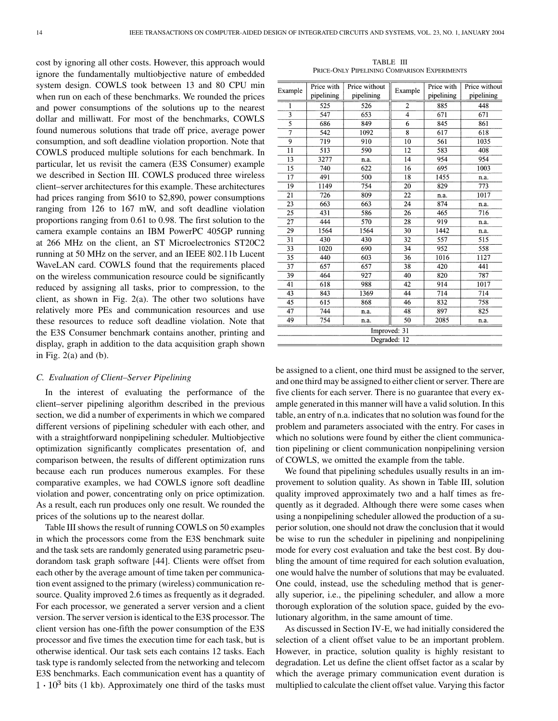cost by ignoring all other costs. However, this approach would ignore the fundamentally multiobjective nature of embedded system design. COWLS took between 13 and 80 CPU min when run on each of these benchmarks. We rounded the prices and power consumptions of the solutions up to the nearest dollar and milliwatt. For most of the benchmarks, COWLS found numerous solutions that trade off price, average power consumption, and soft deadline violation proportion. Note that COWLS produced multiple solutions for each benchmark. In particular, let us revisit the camera (E3S Consumer) example we described in Section III. COWLS produced three wireless client–server architectures for this example. These architectures had prices ranging from \$610 to \$2,890, power consumptions ranging from 126 to 167 mW, and soft deadline violation proportions ranging from 0.61 to 0.98. The first solution to the camera example contains an IBM PowerPC 405GP running at 266 MHz on the client, an ST Microelectronics ST20C2 running at 50 MHz on the server, and an IEEE 802.11b Lucent WaveLAN card. COWLS found that the requirements placed on the wireless communication resource could be significantly reduced by assigning all tasks, prior to compression, to the client, as shown in Fig. 2(a). The other two solutions have relatively more PEs and communication resources and use these resources to reduce soft deadline violation. Note that the E3S Consumer benchmark contains another, printing and display, graph in addition to the data acquisition graph shown in Fig.  $2(a)$  and  $(b)$ .

## *C. Evaluation of Client–Server Pipelining*

In the interest of evaluating the performance of the client–server pipelining algorithm described in the previous section, we did a number of experiments in which we compared different versions of pipelining scheduler with each other, and with a straightforward nonpipelining scheduler. Multiobjective optimization significantly complicates presentation of, and comparison between, the results of different optimization runs because each run produces numerous examples. For these comparative examples, we had COWLS ignore soft deadline violation and power, concentrating only on price optimization. As a result, each run produces only one result. We rounded the prices of the solutions up to the nearest dollar.

Table III shows the result of running COWLS on 50 examples in which the processors come from the E3S benchmark suite and the task sets are randomly generated using parametric pseudorandom task graph software [[44\]](#page-13-0). Clients were offset from each other by the average amount of time taken per communication event assigned to the primary (wireless) communication resource. Quality improved 2.6 times as frequently as it degraded. For each processor, we generated a server version and a client version. The server version is identical to the E3S processor. The client version has one-fifth the power consumption of the E3S processor and five times the execution time for each task, but is otherwise identical. Our task sets each contains 12 tasks. Each task type is randomly selected from the networking and telecom E3S benchmarks. Each communication event has a quantity of  $1 \cdot 10^3$  bits (1 kb). Approximately one third of the tasks must

TABLE III PRICE-ONLY PIPELINING COMPARISON EXPERIMENTS

| Example                 | Price with | Price without    | Example                 | Price with        | Price without |  |  |
|-------------------------|------------|------------------|-------------------------|-------------------|---------------|--|--|
|                         | pipelining | pipelining       |                         | pipelining        | pipelining    |  |  |
| 1                       | 525        | 526              | $\overline{2}$          | 885               | 448           |  |  |
| $\overline{\mathbf{3}}$ | 547        | 653              | $\overline{4}$          | 671               | 671           |  |  |
| 5                       | 686        | 849              | 6                       | 845               | 861           |  |  |
| $\overline{7}$          | 542        | 1092             | $\overline{\mathbf{8}}$ | 617               | 618           |  |  |
| $\overline{9}$          | 719        | 910              | 10                      | 561               | 1035          |  |  |
| 11                      | 513        | 590              | 12                      | 583               | 408           |  |  |
| 13                      | 3277       | n.a.             | 14                      | 954               | 954           |  |  |
| 15                      | 740        | $\overline{622}$ | 16                      | 695               | 1003          |  |  |
| 17                      | 491        | 500              | 18                      | $145\overline{5}$ | n.a.          |  |  |
| 19                      | 1149       | 754              | 20                      | 829               | 773           |  |  |
| 21                      | 726        | 809              | 22                      | n.a.              | 1017          |  |  |
| 23                      | 663        | 663              | 24                      | 874               | n.a.          |  |  |
| 25                      | 431        | 586              | 26                      | 465               | 716           |  |  |
| $\overline{27}$         | 444        | 570              | 28                      | 919               | n.a.          |  |  |
| 29                      | 1564       | 1564             | 30                      | 1442              | n.a.          |  |  |
| 31                      | 430        | 430              | 32                      | 557               | 515           |  |  |
| 33                      | 1020       | 690              | 34                      | 952               | 558           |  |  |
| 35                      | 440        | 603              | 36                      | 1016              | 1127          |  |  |
| 37                      | 657        | 657              | 38                      | 420               | 441           |  |  |
| 39                      | 464        | 927              | 40                      | 820               | 787           |  |  |
| 41                      | 618        | 988              | 42                      | 914               | 1017          |  |  |
| 43                      | 843        | 1369             | 44                      | 714               | 714           |  |  |
| 45                      | 615        | 868              | 46                      | 832               | 758           |  |  |
| 47                      | 744        | n.a.             | 48                      | 897               | 825           |  |  |
| 49                      | 754        | n.a.             | 50                      | 2085              | n.a.          |  |  |
| Improved: 31            |            |                  |                         |                   |               |  |  |
| Degraded: 12            |            |                  |                         |                   |               |  |  |
|                         |            |                  |                         |                   |               |  |  |

be assigned to a client, one third must be assigned to the server, and one third may be assigned to either client or server. There are five clients for each server. There is no guarantee that every example generated in this manner will have a valid solution. In this table, an entry of n.a. indicates that no solution was found for the problem and parameters associated with the entry. For cases in which no solutions were found by either the client communication pipelining or client communication nonpipelining version of COWLS, we omitted the example from the table.

We found that pipelining schedules usually results in an improvement to solution quality. As shown in Table III, solution quality improved approximately two and a half times as frequently as it degraded. Although there were some cases when using a nonpipelining scheduler allowed the production of a superior solution, one should not draw the conclusion that it would be wise to run the scheduler in pipelining and nonpipelining mode for every cost evaluation and take the best cost. By doubling the amount of time required for each solution evaluation, one would halve the number of solutions that may be evaluated. One could, instead, use the scheduling method that is generally superior, i.e., the pipelining scheduler, and allow a more thorough exploration of the solution space, guided by the evolutionary algorithm, in the same amount of time.

As discussed in Section IV-E, we had initially considered the selection of a client offset value to be an important problem. However, in practice, solution quality is highly resistant to degradation. Let us define the client offset factor as a scalar by which the average primary communication event duration is multiplied to calculate the client offset value. Varying this factor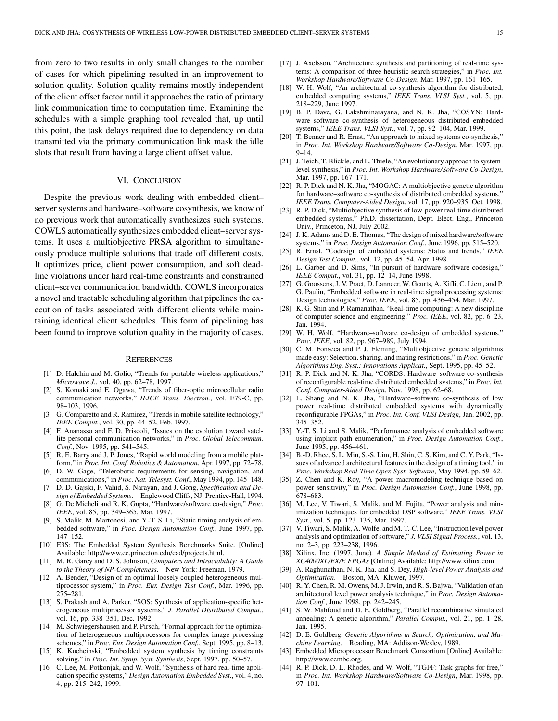<span id="page-13-0"></span>from zero to two results in only small changes to the number of cases for which pipelining resulted in an improvement to solution quality. Solution quality remains mostly independent of the client offset factor until it approaches the ratio of primary link communication time to computation time. Examining the schedules with a simple graphing tool revealed that, up until this point, the task delays required due to dependency on data transmitted via the primary communication link mask the idle slots that result from having a large client offset value.

# VI. CONCLUSION

Despite the previous work dealing with embedded client– server systems and hardware–software cosynthesis, we know of no previous work that automatically synthesizes such systems. COWLS automatically synthesizes embedded client–server systems. It uses a multiobjective PRSA algorithm to simultaneously produce multiple solutions that trade off different costs. It optimizes price, client power consumption, and soft deadline violations under hard real-time constraints and constrained client–server communication bandwidth. COWLS incorporates a novel and tractable scheduling algorithm that pipelines the execution of tasks associated with different clients while maintaining identical client schedules. This form of pipelining has been found to improve solution quality in the majority of cases.

## **REFERENCES**

- [1] D. Halchin and M. Golio, "Trends for portable wireless applications," *Microwave J.*, vol. 40, pp. 62–78, 1997.
- [2] S. Komaki and E. Ogawa, "Trends of fiber-optic microcellular radio communication networks," *IEICE Trans. Electron.*, vol. E79-C, pp. 98–103, 1996.
- [3] G. Comparetto and R. Ramirez, "Trends in mobile satellite technology," *IEEE Comput.*, vol. 30, pp. 44–52, Feb. 1997.
- [4] F. Ananasso and F. D. Priscoli, "Issues on the evolution toward satellite personal communication networks," in *Proc. Global Telecommun. Conf.*, Nov. 1995, pp. 541–545.
- [5] R. E. Barry and J. P. Jones, "Rapid world modeling from a mobile platform," in *Proc. Int. Conf. Robotics & Automation*, Apr. 1997, pp. 72–78.
- [6] D. W. Gage, "Telerobotic requirements for sensing, navigation, and communications," in *Proc. Nat. Telesyst. Conf.*, May 1994, pp. 145–148.
- [7] D. D. Gajski, F. Vahid, S. Narayan, and J. Gong, *Specification and Design of Embedded Systems*. Englewood Cliffs, NJ: Prentice-Hall, 1994.
- [8] G. De Micheli and R. K. Gupta, "Hardware/software co-design," *Proc. IEEE*, vol. 85, pp. 349–365, Mar. 1997.
- [9] S. Malik, M. Martonosi, and Y.-T. S. Li, "Static timing analysis of embedded software," in *Proc. Design Automation Conf.*, June 1997, pp. 147–152.
- [10] E3S: The Embedded System Synthesis Benchmarks Suite*.* [Online] Available: http://www.ee.princeton.edu/cad/projects.html.
- [11] M. R. Garey and D. S. Johnson, *Computers and Intractability: A Guide to the Theory of NP-Completeness*. New York: Freeman, 1979.
- [12] A. Bender, "Design of an optimal loosely coupled heterogeneous multiprocessor system," in *Proc. Eur. Design Test Conf.*, Mar. 1996, pp. 275–281.
- [13] S. Prakash and A. Parker, "SOS: Synthesis of application-specific heterogeneous multiprocessor systems," *J. Parallel Distributed Comput.*, vol. 16, pp. 338–351, Dec. 1992.
- [14] M. Schwiegershausen and P. Pirsch, "Formal approach for the optimization of heterogeneous multiprocessors for complex image processing schemes," in *Proc. Eur. Design Automation Conf.*, Sept. 1995, pp. 8–13.
- [15] K. Kuchcinski, "Embedded system synthesis by timing constraints solving," in *Proc. Int. Symp. Syst. Synthesis*, Sept. 1997, pp. 50–57.
- [16] C. Lee, M. Potkonjak, and W. Wolf, "Synthesis of hard real-time application specific systems," *Design Automation Embedded Syst.*, vol. 4, no. 4, pp. 215–242, 1999.
- [17] J. Axelsson, "Architecture synthesis and partitioning of real-time systems: A comparison of three heuristic search strategies," in *Proc. Int. Workshop Hardware/Software Co-Design*, Mar. 1997, pp. 161–165.
- [18] W. H. Wolf, "An architectural co-synthesis algorithm for distributed, embedded computing systems," *IEEE Trans. VLSI Syst.*, vol. 5, pp. 218–229, June 1997.
- [19] B. P. Dave, G. Lakshminarayana, and N. K. Jha, "COSYN: Hardware–software co-synthesis of heterogeneous distributed embedded systems," *IEEE Trans. VLSI Syst.*, vol. 7, pp. 92–104, Mar. 1999.
- [20] T. Benner and R. Ernst, "An approach to mixed systems co-synthesis," in *Proc. Int. Workshop Hardware/Software Co-Design*, Mar. 1997, pp. 9–14.
- [21] J. Teich, T. Blickle, and L. Thiele, "An evolutionary approach to systemlevel synthesis," in *Proc. Int. Workshop Hardware/Software Co-Design*, Mar. 1997, pp. 167–171.
- [22] R. P. Dick and N. K. Jha, "MOGAC: A multiobjective genetic algorithm for hardware–software co-synthesis of distributed embedded systems," *IEEE Trans. Computer-Aided Design*, vol. 17, pp. 920–935, Oct. 1998.
- [23] R. P. Dick, "Multiobjective synthesis of low-power real-time distributed embedded systems," Ph.D. dissertation, Dept. Elect. Eng., Princeton Univ., Princeton, NJ, July 2002.
- [24] J. K. Adams and D. E. Thomas, "The design of mixed hardware/software systems," in *Proc. Design Automation Conf.*, June 1996, pp. 515–520.
- [25] R. Ernst, "Codesign of embedded systems: Status and trends," *IEEE Design Test Comput.*, vol. 12, pp. 45–54, Apr. 1998.
- [26] L. Garber and D. Sims, "In pursuit of hardware–software codesign," *IEEE Comput.*, vol. 31, pp. 12–14, June 1998.
- [27] G. Goossens, J. V. Praet, D. Lanneer, W. Geurts, A. Kifli, C. Liem, and P. G. Paulin, "Embedded software in real-time signal processing systems: Design technologies," *Proc. IEEE*, vol. 85, pp. 436–454, Mar. 1997.
- [28] K. G. Shin and P. Ramanathan, "Real-time computing: A new discipline of computer science and engineering," *Proc. IEEE*, vol. 82, pp. 6–23, Jan. 1994.
- [29] W. H. Wolf, "Hardware–software co-design of embedded systems," *Proc. IEEE*, vol. 82, pp. 967–989, July 1994.
- [30] C. M. Fonseca and P. J. Fleming, "Multiobjective genetic algorithms made easy: Selection, sharing, and mating restrictions," in *Proc. Genetic Algorithms Eng. Syst.: Innovations Applicat.*, Sept. 1995, pp. 45–52.
- [31] R. P. Dick and N. K. Jha, "CORDS: Hardware–software co-synthesis of reconfigurable real-time distributed embedded systems," in *Proc. Int. Conf. Computer-Aided Design*, Nov. 1998, pp. 62–68.
- [32] L. Shang and N. K. Jha, "Hardware–software co-synthesis of low power real-time distributed embedded systems with dynamically reconfigurable FPGAs," in *Proc. Int. Conf. VLSI Design*, Jan. 2002, pp. 345–352.
- [33] Y.-T. S. Li and S. Malik, "Performance analysis of embedded software using implicit path enumeration," in *Proc. Design Automation Conf.*, June 1995, pp. 456–461.
- [34] B.-D. Rhee, S. L. Min, S.-S. Lim, H. Shin, C. S. Kim, and C. Y. Park, "Issues of advanced architectural features in the design of a timing tool," in *Proc. Workshop Real-Time Oper. Syst. Software*, May 1994, pp. 59–62.
- [35] Z. Chen and K. Roy, "A power macromodeling technique based on power sensitivity," in *Proc. Design Automation Conf.*, June 1998, pp. 678–683.
- [36] M. Lee, V. Tiwari, S. Malik, and M. Fujita, "Power analysis and minimization techniques for embedded DSP software," *IEEE Trans. VLSI Syst.*, vol. 5, pp. 123–135, Mar. 1997.
- [37] V. Tiwari, S. Malik, A. Wolfe, and M. T.-C. Lee, "Instruction level power analysis and optimization of software," *J. VLSI Signal Process.*, vol. 13, no. 2–3, pp. 223–238, 1996.
- [38] Xilinx, Inc. (1997, June)*. A Simple Method of Estimating Power in XC4000XL/EX/E FPGAs* [Online] Available: http://www.xilinx.com.
- [39] A. Raghunathan, N. K. Jha, and S. Dey, *High-level Power Analysis and Optimization*. Boston, MA: Kluwer, 1997.
- [40] R. Y. Chen, R. M. Owens, M. J. Irwin, and R. S. Bajwa, "Validation of an architectural level power analysis technique," in *Proc. Design Automation Conf.*, June 1998, pp. 242–245.
- [41] S. W. Mahfoud and D. E. Goldberg, "Parallel recombinative simulated annealing: A genetic algorithm," *Parallel Comput.*, vol. 21, pp. 1–28, Jan. 1995.
- [42] D. E. Goldberg, *Genetic Algorithms in Search, Optimization, and Machine Learning*. Reading, MA: Addison-Wesley, 1989.
- [43] Embedded Microprocessor Benchmark Consortium [Online] Available: http://www.eembc.org.
- [44] R. P. Dick, D. L. Rhodes, and W. Wolf, "TGFF: Task graphs for free," in *Proc. Int. Workshop Hardware/Software Co-Design*, Mar. 1998, pp. 97–101.